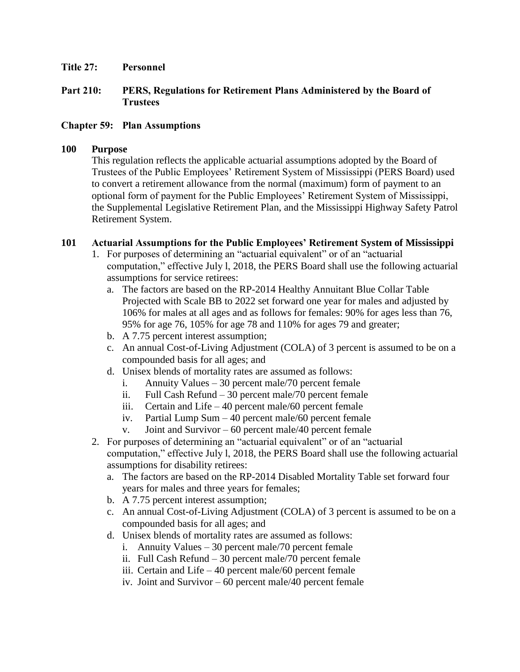### **Title 27: Personnel**

## **Part 210: PERS, Regulations for Retirement Plans Administered by the Board of Trustees**

### **Chapter 59: Plan Assumptions**

#### **100 Purpose**

This regulation reflects the applicable actuarial assumptions adopted by the Board of Trustees of the Public Employees' Retirement System of Mississippi (PERS Board) used to convert a retirement allowance from the normal (maximum) form of payment to an optional form of payment for the Public Employees' Retirement System of Mississippi, the Supplemental Legislative Retirement Plan, and the Mississippi Highway Safety Patrol Retirement System.

## **101 Actuarial Assumptions for the Public Employees' Retirement System of Mississippi**

- 1. For purposes of determining an "actuarial equivalent" or of an "actuarial computation," effective July l, 2018, the PERS Board shall use the following actuarial assumptions for service retirees:
	- a. The factors are based on the RP-2014 Healthy Annuitant Blue Collar Table Projected with Scale BB to 2022 set forward one year for males and adjusted by 106% for males at all ages and as follows for females: 90% for ages less than 76, 95% for age 76, 105% for age 78 and 110% for ages 79 and greater;
	- b. A 7.75 percent interest assumption;
	- c. An annual Cost-of-Living Adjustment (COLA) of 3 percent is assumed to be on a compounded basis for all ages; and
	- d. Unisex blends of mortality rates are assumed as follows:
		- i. Annuity Values 30 percent male/70 percent female
		- ii. Full Cash Refund 30 percent male/70 percent female
		- iii. Certain and Life 40 percent male/60 percent female
		- iv. Partial Lump Sum 40 percent male/60 percent female
		- v. Joint and Survivor 60 percent male/40 percent female
- 2. For purposes of determining an "actuarial equivalent" or of an "actuarial computation," effective July l, 2018, the PERS Board shall use the following actuarial assumptions for disability retirees:
	- a. The factors are based on the RP-2014 Disabled Mortality Table set forward four years for males and three years for females;
	- b. A 7.75 percent interest assumption;
	- c. An annual Cost-of-Living Adjustment (COLA) of 3 percent is assumed to be on a compounded basis for all ages; and
	- d. Unisex blends of mortality rates are assumed as follows:
		- i. Annuity Values 30 percent male/70 percent female
		- ii. Full Cash Refund 30 percent male/70 percent female
		- iii. Certain and Life 40 percent male/60 percent female
		- iv. Joint and Survivor 60 percent male/40 percent female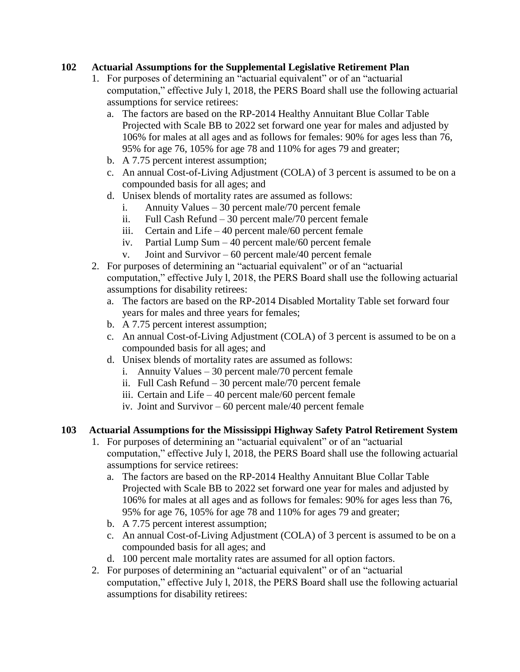# **102 Actuarial Assumptions for the Supplemental Legislative Retirement Plan**

- 1. For purposes of determining an "actuarial equivalent" or of an "actuarial computation," effective July l, 2018, the PERS Board shall use the following actuarial assumptions for service retirees:
	- a. The factors are based on the RP-2014 Healthy Annuitant Blue Collar Table Projected with Scale BB to 2022 set forward one year for males and adjusted by 106% for males at all ages and as follows for females: 90% for ages less than 76, 95% for age 76, 105% for age 78 and 110% for ages 79 and greater;
	- b. A 7.75 percent interest assumption;
	- c. An annual Cost-of-Living Adjustment (COLA) of 3 percent is assumed to be on a compounded basis for all ages; and
	- d. Unisex blends of mortality rates are assumed as follows:
		- i. Annuity Values 30 percent male/70 percent female
		- ii. Full Cash Refund 30 percent male/70 percent female
		- iii. Certain and Life 40 percent male/60 percent female
		- iv. Partial Lump Sum 40 percent male/60 percent female
		- v. Joint and Survivor 60 percent male/40 percent female
- 2. For purposes of determining an "actuarial equivalent" or of an "actuarial computation," effective July l, 2018, the PERS Board shall use the following actuarial assumptions for disability retirees:
	- a. The factors are based on the RP-2014 Disabled Mortality Table set forward four years for males and three years for females;
	- b. A 7.75 percent interest assumption;
	- c. An annual Cost-of-Living Adjustment (COLA) of 3 percent is assumed to be on a compounded basis for all ages; and
	- d. Unisex blends of mortality rates are assumed as follows:
		- i. Annuity Values 30 percent male/70 percent female
		- ii. Full Cash Refund 30 percent male/70 percent female
		- iii. Certain and Life 40 percent male/60 percent female
		- iv. Joint and Survivor 60 percent male/40 percent female

#### **103 Actuarial Assumptions for the Mississippi Highway Safety Patrol Retirement System**

- 1. For purposes of determining an "actuarial equivalent" or of an "actuarial computation," effective July l, 2018, the PERS Board shall use the following actuarial assumptions for service retirees:
	- a. The factors are based on the RP-2014 Healthy Annuitant Blue Collar Table Projected with Scale BB to 2022 set forward one year for males and adjusted by 106% for males at all ages and as follows for females: 90% for ages less than 76, 95% for age 76, 105% for age 78 and 110% for ages 79 and greater;
	- b. A 7.75 percent interest assumption;
	- c. An annual Cost-of-Living Adjustment (COLA) of 3 percent is assumed to be on a compounded basis for all ages; and
	- d. 100 percent male mortality rates are assumed for all option factors.
- 2. For purposes of determining an "actuarial equivalent" or of an "actuarial computation," effective July l, 2018, the PERS Board shall use the following actuarial assumptions for disability retirees: